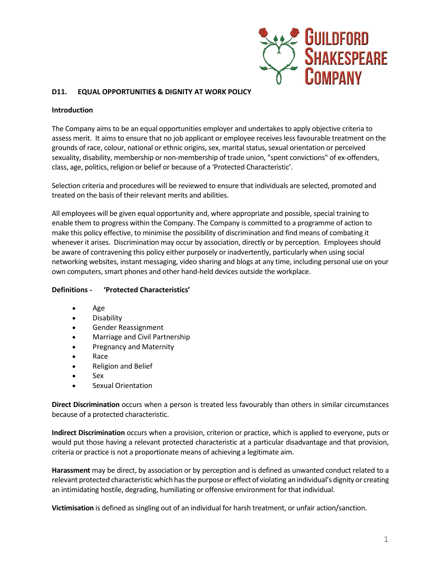

# **D11. EQUAL OPPORTUNITIES & DIGNITY AT WORK POLICY**

### **Introduction**

The Company aims to be an equal opportunities employer and undertakes to apply objective criteria to assess merit. It aims to ensure that no job applicant or employee receives less favourable treatment on the grounds of race, colour, national or ethnic origins, sex, marital status, sexual orientation or perceived sexuality, disability, membership or non-membership of trade union, "spent convictions" of ex-offenders, class, age, politics, religion or belief or because of a 'Protected Characteristic'.

Selection criteria and procedures will be reviewed to ensure that individuals are selected, promoted and treated on the basis of their relevant merits and abilities.

All employees will be given equal opportunity and, where appropriate and possible, special training to enable them to progress within the Company. The Company is committed to a programme of action to make this policy effective, to minimise the possibility of discrimination and find means of combating it whenever it arises. Discrimination may occur by association, directly or by perception. Employees should be aware of contravening this policy either purposely or inadvertently, particularly when using social networking websites, instant messaging, video sharing and blogs at any time, including personal use on your own computers, smart phones and other hand-held devices outside the workplace.

#### **Definitions - 'Protected Characteristics'**

- Age
- Disability
- Gender Reassignment
- Marriage and Civil Partnership
- Pregnancy and Maternity
- Race
- Religion and Belief
- Sex
- Sexual Orientation

**Direct Discrimination** occurs when a person is treated less favourably than others in similar circumstances because of a protected characteristic.

**Indirect Discrimination** occurs when a provision, criterion or practice, which is applied to everyone, puts or would put those having a relevant protected characteristic at a particular disadvantage and that provision, criteria or practice is not a proportionate means of achieving a legitimate aim.

**Harassment** may be direct, by association or by perception and is defined as unwanted conduct related to a relevant protected characteristic which has the purpose or effect of violating an individual's dignity or creating an intimidating hostile, degrading, humiliating or offensive environment for that individual.

**Victimisation** is defined as singling out of an individual for harsh treatment, or unfair action/sanction.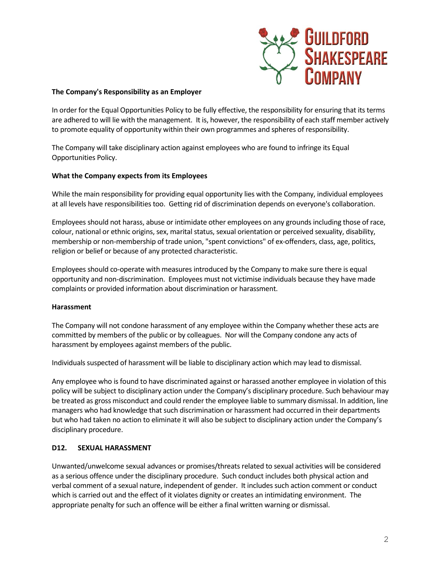

### **The Company's Responsibility as an Employer**

In order for the Equal Opportunities Policy to be fully effective, the responsibility for ensuring that its terms are adhered to will lie with the management. It is, however, the responsibility of each staff member actively to promote equality of opportunity within their own programmes and spheres of responsibility.

The Company will take disciplinary action against employees who are found to infringe its Equal Opportunities Policy.

## **What the Company expects from its Employees**

While the main responsibility for providing equal opportunity lies with the Company, individual employees at all levels have responsibilities too. Getting rid of discrimination depends on everyone's collaboration.

Employees should not harass, abuse or intimidate other employees on any grounds including those of race, colour, national or ethnic origins, sex, marital status, sexual orientation or perceived sexuality, disability, membership or non-membership of trade union, "spent convictions" of ex-offenders, class, age, politics, religion or belief or because of any protected characteristic.

Employees should co-operate with measures introduced by the Company to make sure there is equal opportunity and non-discrimination. Employees must not victimise individuals because they have made complaints or provided information about discrimination or harassment.

#### **Harassment**

The Company will not condone harassment of any employee within the Company whether these acts are committed by members of the public or by colleagues. Nor will the Company condone any acts of harassment by employees against members of the public.

Individuals suspected of harassment will be liable to disciplinary action which may lead to dismissal.

Any employee who is found to have discriminated against or harassed another employee in violation of this policy will be subject to disciplinary action under the Company's disciplinary procedure. Such behaviour may be treated as gross misconduct and could render the employee liable to summary dismissal. In addition, line managers who had knowledge that such discrimination or harassment had occurred in their departments but who had taken no action to eliminate it will also be subject to disciplinary action under the Company's disciplinary procedure.

#### **D12. SEXUAL HARASSMENT**

Unwanted/unwelcome sexual advances or promises/threats related to sexual activities will be considered as a serious offence under the disciplinary procedure. Such conduct includes both physical action and verbal comment of a sexual nature, independent of gender. It includes such action comment or conduct which is carried out and the effect of it violates dignity or creates an intimidating environment. The appropriate penalty for such an offence will be either a final written warning or dismissal.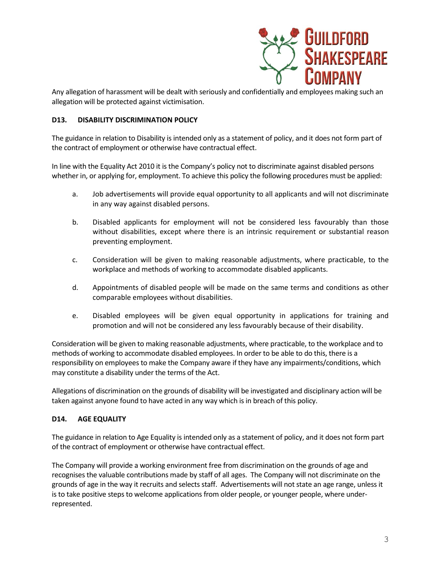

Any allegation of harassment will be dealt with seriously and confidentially and employees making such an allegation will be protected against victimisation.

# **D13. DISABILITY DISCRIMINATION POLICY**

The guidance in relation to Disability is intended only as a statement of policy, and it does not form part of the contract of employment or otherwise have contractual effect.

In line with the Equality Act 2010 it is the Company's policy not to discriminate against disabled persons whether in, or applying for, employment. To achieve this policy the following procedures must be applied:

- a. Job advertisements will provide equal opportunity to all applicants and will not discriminate in any way against disabled persons.
- b. Disabled applicants for employment will not be considered less favourably than those without disabilities, except where there is an intrinsic requirement or substantial reason preventing employment.
- c. Consideration will be given to making reasonable adjustments, where practicable, to the workplace and methods of working to accommodate disabled applicants.
- d. Appointments of disabled people will be made on the same terms and conditions as other comparable employees without disabilities.
- e. Disabled employees will be given equal opportunity in applications for training and promotion and will not be considered any less favourably because of their disability.

Consideration will be given to making reasonable adjustments, where practicable, to the workplace and to methods of working to accommodate disabled employees. In order to be able to do this, there is a responsibility on employees to make the Company aware if they have any impairments/conditions, which may constitute a disability under the terms of the Act.

Allegations of discrimination on the grounds of disability will be investigated and disciplinary action will be taken against anyone found to have acted in any way which is in breach of this policy.

## **D14. AGE EQUALITY**

The guidance in relation to Age Equality is intended only as a statement of policy, and it does not form part of the contract of employment or otherwise have contractual effect.

The Company will provide a working environment free from discrimination on the grounds of age and recognises the valuable contributions made by staff of all ages. The Company will not discriminate on the grounds of age in the way it recruits and selects staff. Advertisements will not state an age range, unless it is to take positive steps to welcome applications from older people, or younger people, where underrepresented.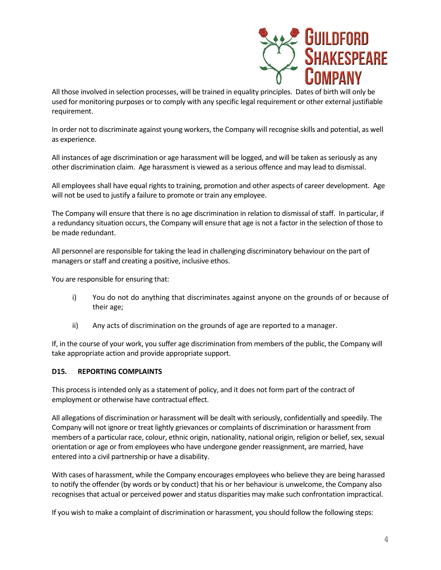

All those involved in selection processes, will be trained in equality principles. Dates of birth will only be used for monitoring purposes or to comply with any specific legal requirement or other external justifiable requirement.

In order not to discriminate against young workers, the Company will recognise skills and potential, as well as experience.

All instances of age discrimination or age harassment will be logged, and will be taken as seriously as any other discrimination claim. Age harassment is viewed as a serious offence and may lead to dismissal.

All employees shall have equal rights to training, promotion and other aspects of career development. Age will not be used to justify a failure to promote or train any employee.

The Company will ensure that there is no age discrimination in relation to dismissal of staff. In particular, if a redundancy situation occurs, the Company will ensure that age is not a factor in the selection of those to be made redundant.

All personnel are responsible for taking the lead in challenging discriminatory behaviour on the part of managers or staff and creating a positive, inclusive ethos.

You are responsible for ensuring that:

- i) You do not do anything that discriminates against anyone on the grounds of or because of their age;
- ii) Any acts of discrimination on the grounds of age are reported to a manager.

If, in the course of your work, you suffer age discrimination from members of the public, the Company will take appropriate action and provide appropriate support.

#### **D15. REPORTING COMPLAINTS**

This process is intended only as a statement of policy, and it does not form part of the contract of employment or otherwise have contractual effect.

All allegations of discrimination or harassment will be dealt with seriously, confidentially and speedily. The Company will not ignore or treat lightly grievances or complaints of discrimination or harassment from members of a particular race, colour, ethnic origin, nationality, national origin, religion or belief, sex, sexual orientation or age or from employees who have undergone gender reassignment, are married, have entered into a civil partnership or have a disability.

With cases of harassment, while the Company encourages employees who believe they are being harassed to notify the offender (by words or by conduct) that his or her behaviour is unwelcome, the Company also recognises that actual or perceived power and status disparities may make such confrontation impractical.

If you wish to make a complaint of discrimination or harassment, you should follow the following steps: